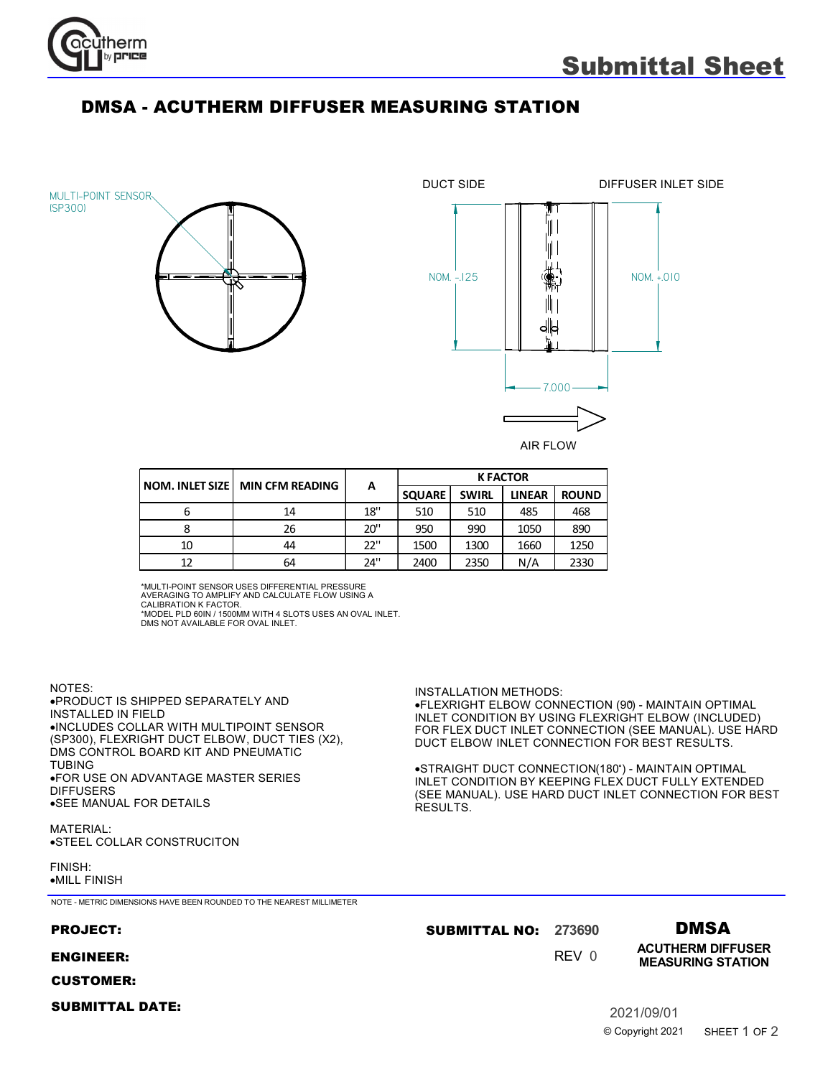

## DMSA - ACUTHERM DIFFUSER MEASURING STATION

MULTI-POINT SENSOR (SP300)





.FLEXRIGHT ELBOW CONNECTION (90) - MAINTAIN OPTIMAL INLET CONDITION BY USING FLEXRIGHT ELBOW (INCLUDED) FOR FLEX DUCT INLET CONNECTION (SEE MANUAL). USE HARD DUCT ELBOW INLET CONNECTION FOR BEST RESULTS.

.STRAIGHT DUCT CONNECTION(180°) - MAINTAIN OPTIMAL INLET CONDITION BY KEEPING FLEX DUCT FULLY EXTENDED (SEE MANUAL). USE HARD DUCT INLET CONNECTION FOR BEST

|    | NOM. INLET SIZE   MIN CFM READING | A   | <b>K FACTOR</b> |              |               |              |
|----|-----------------------------------|-----|-----------------|--------------|---------------|--------------|
|    |                                   |     | <b>SQUARE</b>   | <b>SWIRL</b> | <b>LINEAR</b> | <b>ROUND</b> |
| o  | 14                                | 18" | 510             | 510          | 485           | 468          |
|    | 26                                | 20" | 950             | 990          | 1050          | 890          |
| 10 | 44                                | 22" | 1500            | 1300         | 1660          | 1250         |
|    | 64                                | 24" | 2400            | 2350         | N/A           | 2330         |

\*MULTI-POINT SENSOR USES DIFFERENTIAL PRESSURE

AVERAGING TO AMPLIFY AND CALCULATE FLOW USING A<br>CALIBRATION K FACTOR.<br>\*MODEL PLD 60IN / 1500MM WITH 4 SLOTS USES AN OVAL INLET.

DMS NOT AVAILABLE FOR OVAL INLET.

NOTES: PRODUCT IS SHIPPED SEPARATELY AND · INSTALLED IN FIELD INCLUDES COLLAR WITH MULTIPOINT SENSOR · (SP300), FLEXRIGHT DUCT ELBOW, DUCT TIES (X2), DMS CONTROL BOARD KIT AND PNEUMATIC TUBING FOR USE ON ADVANTAGE MASTER SERIES · DIFFUSERS SEE MANUAL FOR DETAILS ·

MATERIAL: STEEL COLLAR CONSTRUCITON ·

FINISH: MILL FINISH ·

## NOTE - METRIC DIMENSIONS HAVE BEEN ROUNDED TO THE NEAREST MILLIMETER

| <b>PROJECT:</b>        | <b>SUBMITTAL NO: 273690</b> |       | <b>DMSA</b>                                          |
|------------------------|-----------------------------|-------|------------------------------------------------------|
| <b>ENGINEER:</b>       |                             | REV 0 | <b>ACUTHERM DIFFUSER</b><br><b>MEASURING STATION</b> |
| <b>CUSTOMER:</b>       |                             |       |                                                      |
| <b>SUBMITTAL DATE:</b> |                             |       | 2021/09/01                                           |

RESULTS.

INSTALLATION METHODS: